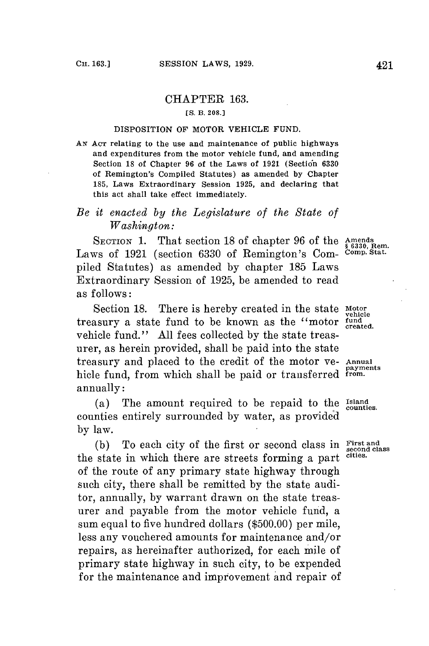## CHAPTER **163.**

#### **[S. B. 208.]**

### **DISPOSITION OF MOTOR VEHICLE FUND.**

*AN* **ACT relating to the use and maintenance of public highways and expenditures from the motor vehicle fund, and amending** Section 18 of Chapter 96 of the Laws of 1921 (Section 6330 **of Remington's Compiled Statutes) as amended by Chapter 185, Laws Extraordinary Session 1925, and declaring that this act shall take effect immediately.**

## *Be it enacted by the Legislature of the State of Washington:*

SECTION 1. That section 18 of chapter 96 of the Amends<br>
Laws of 1921 (section 6330 of Remington's Com- <sup>Comp. Stat.</sup> piled Statutes) as amended **by** chapter **185** Laws Extraordinary Session of **1925,** be amended to read as follows:

Section **18.** There is hereby created in the state **Motor** treasury a state fund to be known as the "motor **fund created.** vehicle fund." **All** fees collected **by** the state treasurer, as herein provided, shall be paid into the state treasury and placed to the credit of the motor ve- **Annual** hicle fund, from which shall be paid or transferred annually:

(a) The amount required to be repaid to the *Island* counties. counties entirely surrounded **by** water, as provided **by** law.

**(b)** To each city of the first or second class in **First and second class** the state in which there are streets forming a part **cities.** of the route of any primary state highway through such city, there shall be remitted **by** the state auditor, annually, **by** warrant drawn on the state treasurer and payable from the motor vehicle fund, a sum equal to five hundred dollars **(\$500.00)** per mile, less any vouchered amounts **for** maintenance and/or repairs, as hereinafter authorized, for each mile of primary state highway in such city, to be expended for the maintenance and improvement and repair of

**vehicle**

**payments**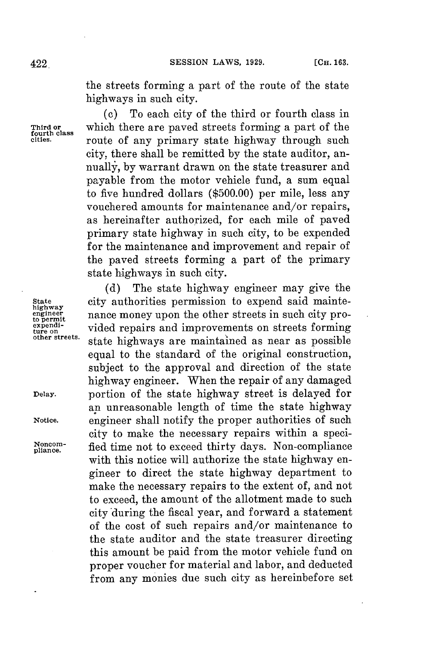the streets forming a part of the route of the state highways in such city.

**(c)** To each city of the third or fourth class in **Third or** which there are paved streets forming a part of the route of any primary state highway through such city, there shall be remitted **by** the state auditor, annually, **by** warrant drawn on the state treasurer and payable from the motor vehicle fund, a sum equal to five hundred dollars **(\$500.00)** per mile, less any vouchered amounts for maintenance and/or repairs, as hereinafter authorized, **for** each mile of paved primary state highway in such city, to be expended **for** the maintenance and improvement and repair of the paved streets forming a part of the primary state highways in such city.

**(d)** The state highway engineer may give the **State** city authorities permission to expend said maintenance money upon the other streets in such city pro-<br>vided repairs and improvements on streets forming ture on<br><sup>other streets.</sup> state highways are maintained as near as possible equal to the standard of the original construction, subject to the approval and direction of the state highway engineer. When the repair of any damaged **Delay.** portion of the state highway street is delayed for an unreasonable length of time the state highway **Notice.** engineer shall notify the proper authorities of such city to make the necessary repairs within a speci-Noncom-<br>pliance. fied time not to exceed thirty days. Non-compliance with this notice will authorize the state highway engineer to direct the state highway department to make the necessary repairs to the extent of, and not to exceed, the amount of the allotment made to such city during the fiscal year, and forward a statement of the cost of such repairs and/or maintenance to the state auditor and the state treasurer directing this amount be paid from the motor vehicle fund on proper voucher **for** material and labor, and deducted from any monies due such city as hereinbefore set

**highway** to permit<br>expendi-

**fourth class**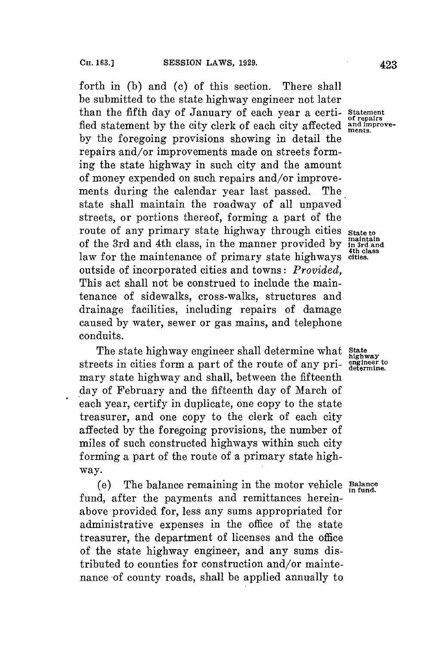forth in **(b)** and **(c)** of this section. There shall **be** submitted to the state highway engineer not later than the fifth day of January of each year a certi- **Statement** fled statement by the city clerk of each city affected and improve**by** the foregoing provisions showing in detail the repairs and/or improvements made on streets forming the state highway in such city and the amount of money expended on such repairs and/or improvements during the calendar year last passed. The state shall maintain the roadway of all unpaved streets, or portions thereof, forming a part of the route of any primary state highway through cities state to of the 3rd and 4th class, in the manner provided by maintain of the 3rd and 4th class, in the manner provided by  $\frac{\text{maintain}}{\text{4th class}}$ law for the maintenance of primary state highways cities. outside of incorporated cities and towns: *Provided,* This act shall not be construed to include the maintenance of sidewalks, cross-walks, structures and drainage facilities, including repairs of damage caused **by** water, sewer or gas mains, and telephone conduits.

The state highway engineer shall determine what **State** streets in cities form a part of the route of any pri- **engineer to** mary state highway and shall, between the fifteenth day of February and the fifteenth day of March of each year, certify in duplicate, one copy to the state treasurer, and one copy to the clerk of each city affected **by** the foregoing provisions, the number of miles of such constructed highways within such city forming a part of the route of a primary state highway.

(e) The balance remaining in the motor vehicle **Balance in fund.** fund, after the payments and remittances hereinabove provided for, less any sums appropriated for administrative expenses in the office of the state treasurer, the department of licenses and the office of the state highway engineer, and any sums distributed to counties for construction and/or maintenance of county roads, shall be applied annually to